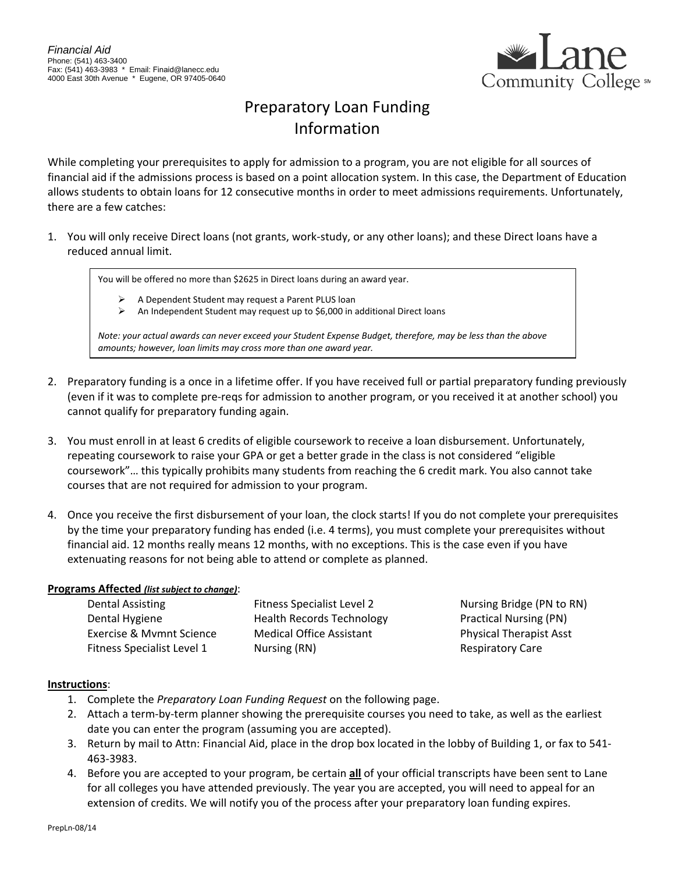

# Preparatory Loan Funding Information

While completing your prerequisites to apply for admission to a program, you are not eligible for all sources of financial aid if the admissions process is based on a point allocation system. In this case, the Department of Education allows students to obtain loans for 12 consecutive months in order to meet admissions requirements. Unfortunately, there are a few catches:

1. You will only receive Direct loans (not grants, work-study, or any other loans); and these Direct loans have a reduced annual limit.

You will be offered no more than \$2625 in Direct loans during an award year.

- A Dependent Student may request a Parent PLUS loan
- $\triangleright$  An Independent Student may request up to \$6,000 in additional Direct loans

*Note: your actual awards can never exceed your Student Expense Budget, therefore, may be less than the above amounts; however, loan limits may cross more than one award year.* 

- 2. Preparatory funding is a once in a lifetime offer. If you have received full or partial preparatory funding previously (even if it was to complete pre-reqs for admission to another program, or you received it at another school) you cannot qualify for preparatory funding again.
- 3. You must enroll in at least 6 credits of eligible coursework to receive a loan disbursement. Unfortunately, repeating coursework to raise your GPA or get a better grade in the class is not considered "eligible coursework"… this typically prohibits many students from reaching the 6 credit mark. You also cannot take courses that are not required for admission to your program.
- 4. Once you receive the first disbursement of your loan, the clock starts! If you do not complete your prerequisites by the time your preparatory funding has ended (i.e. 4 terms), you must complete your prerequisites without financial aid. 12 months really means 12 months, with no exceptions. This is the case even if you have extenuating reasons for not being able to attend or complete as planned.

#### **Programs Affected** *(list subject to change)*:

| Dental Assisting                  | <b>Fitness Specialist Level 2</b> |  |
|-----------------------------------|-----------------------------------|--|
| Dental Hygiene                    | <b>Health Records Technology</b>  |  |
| Exercise & Mymnt Science          | <b>Medical Office Assistant</b>   |  |
| <b>Fitness Specialist Level 1</b> | Nursing (RN)                      |  |

Nursing Bridge (PN to RN) Practical Nursing (PN) Physical Therapist Asst Respiratory Care

### **Instructions**:

- 1. Complete the *Preparatory Loan Funding Request* on the following page.
- 2. Attach a term-by-term planner showing the prerequisite courses you need to take, as well as the earliest date you can enter the program (assuming you are accepted).
- 3. Return by mail to Attn: Financial Aid, place in the drop box located in the lobby of Building 1, or fax to 541- 463-3983.
- 4. Before you are accepted to your program, be certain **all** of your official transcripts have been sent to Lane for all colleges you have attended previously. The year you are accepted, you will need to appeal for an extension of credits. We will notify you of the process after your preparatory loan funding expires.